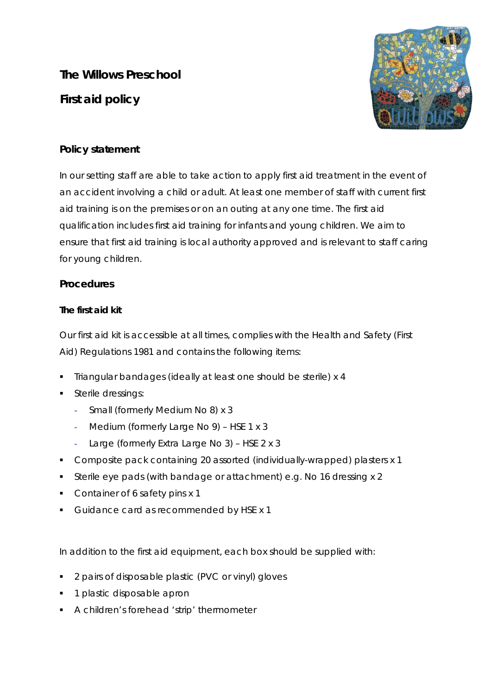**The Willows Preschool First aid policy** 



# **Policy statement**

In our setting staff are able to take action to apply first aid treatment in the event of an accident involving a child or adult. At least one member of staff with current first aid training is on the premises or on an outing at any one time. The first aid qualification includes first aid training for infants and young children. We aim to ensure that first aid training is local authority approved and is relevant to staff caring for young children.

## **Procedures**

### **The first aid kit**

Our first aid kit is accessible at all times, complies with the Health and Safety (First Aid) Regulations 1981 and contains the following items:

- Triangular bandages (ideally at least one should be sterile) x 4
- **Sterile dressings:** 
	- **-** Small (formerly Medium No 8) x 3
	- **-** Medium (formerly Large No 9) HSE 1 x 3
	- **-** Large (formerly Extra Large No 3) HSE 2 x 3
- Composite pack containing 20 assorted (individually-wrapped) plasters x 1
- Sterile eye pads (with bandage or attachment) e.g. No 16 dressing x 2
- Container of 6 safety pins x 1
- Guidance card as recommended by HSE x 1

In addition to the first aid equipment, each box should be supplied with:

- 2 pairs of disposable plastic (PVC or vinyl) gloves
- **1** plastic disposable apron
- A children's forehead 'strip' thermometer